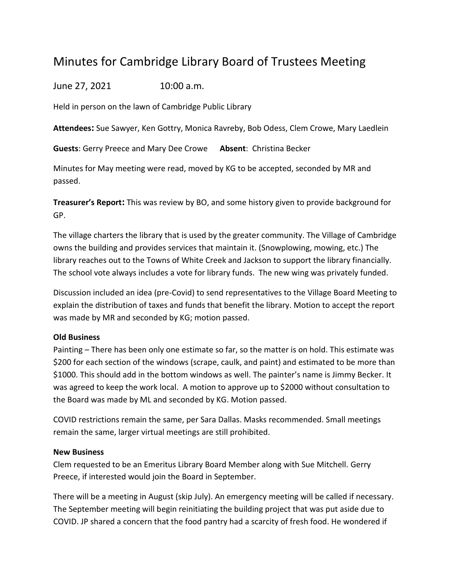## Minutes for Cambridge Library Board of Trustees Meeting

June 27, 2021 10:00 a.m.

Held in person on the lawn of Cambridge Public Library

**Attendees:** Sue Sawyer, Ken Gottry, Monica Ravreby, Bob Odess, Clem Crowe, Mary Laedlein

**Guests**: Gerry Preece and Mary Dee Crowe **Absent**: Christina Becker

Minutes for May meeting were read, moved by KG to be accepted, seconded by MR and passed.

**Treasurer's Report:** This was review by BO, and some history given to provide background for GP.

The village charters the library that is used by the greater community. The Village of Cambridge owns the building and provides services that maintain it. (Snowplowing, mowing, etc.) The library reaches out to the Towns of White Creek and Jackson to support the library financially. The school vote always includes a vote for library funds. The new wing was privately funded.

Discussion included an idea (pre-Covid) to send representatives to the Village Board Meeting to explain the distribution of taxes and funds that benefit the library. Motion to accept the report was made by MR and seconded by KG; motion passed.

## **Old Business**

Painting – There has been only one estimate so far, so the matter is on hold. This estimate was \$200 for each section of the windows (scrape, caulk, and paint) and estimated to be more than \$1000. This should add in the bottom windows as well. The painter's name is Jimmy Becker. It was agreed to keep the work local. A motion to approve up to \$2000 without consultation to the Board was made by ML and seconded by KG. Motion passed.

COVID restrictions remain the same, per Sara Dallas. Masks recommended. Small meetings remain the same, larger virtual meetings are still prohibited.

## **New Business**

Clem requested to be an Emeritus Library Board Member along with Sue Mitchell. Gerry Preece, if interested would join the Board in September.

There will be a meeting in August (skip July). An emergency meeting will be called if necessary. The September meeting will begin reinitiating the building project that was put aside due to COVID. JP shared a concern that the food pantry had a scarcity of fresh food. He wondered if